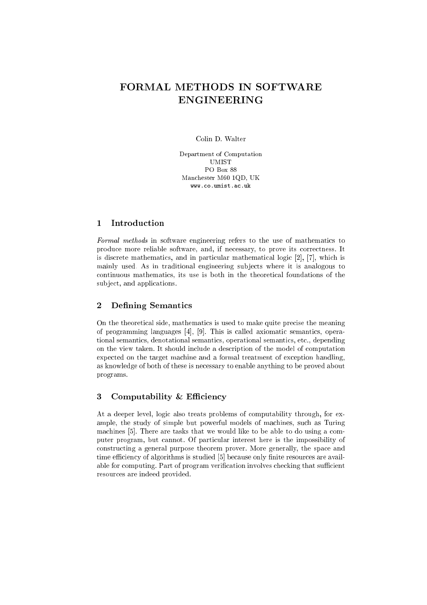# FORMAL METHODS IN SOFTWARE **ENGINEERING**

Colin D. Walter

Department of Computation **UMIST** PO Box 88 Manchester M60 1QD, UK www.co.umist.ac.uk

#### $\mathbf{1}$ Introduction

Formal methods in software engineering refers to the use of mathematics to produce more reliable software, and, if necessary, to prove its correctness. It is discrete mathematics, and in particular mathematical logic [2], [7], which is mainly used. As in traditional engineering subjects where it is analogous to continuous mathematics, its use is both in the theoretical foundations of the subject, and applications.

#### **Defining Semantics**  $\overline{2}$

On the theoretical side, mathematics is used to make quite precise the meaning of programming languages [4], [9]. This is called axiomatic semantics, operational semantics, denotational semantics, operational semantics, etc., depending on the view taken. It should include a description of the model of computation expected on the target machine and a formal treatment of exception handling, as knowledge of both of these is necessary to enable anything to be proved about programs.

#### Computability & Efficiency 3

At a deeper level, logic also treats problems of computability through, for example, the study of simple but powerful models of machines, such as Turing machines [5]. There are tasks that we would like to be able to do using a computer program, but cannot. Of particular interest here is the impossibility of constructing a general purpose theorem prover. More generally, the space and time efficiency of algorithms is studied [5] because only finite resources are available for computing. Part of program verification involves checking that sufficient resources are indeed provided.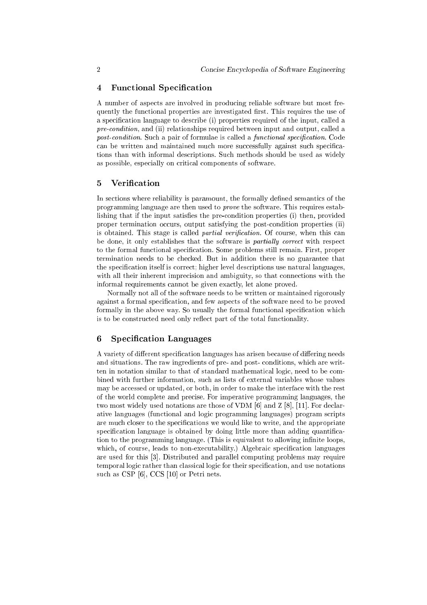### 4 Functional Specification

A number of aspe
ts are involved in produ
ing reliable software but most frequently the functional properties are investigated first. This requires the use of a specification language to describe (i) properties required of the input, called a pre-condition, and (ii) relationships required between input and output, called a post-condition. Such a pair of formulae is called a functional specification. Code can be written and maintained much more successfully against such specifications than with informal des
riptions. Su
h methods should be used as widely as possible, espe
ially on riti
al omponents of software.

### 5 Verification

In sections where reliability is paramount, the formally defined semantics of the programming language are then used to prove the software. This requires establishing that if the input satisfies the pre-condition properties (i) then, provided proper termination occurs, output satisfying the post-condition properties (ii) is obtained. This stage is called *partial verification*. Of course, when this can be done, it only establishes that the software is *partially correct* with respect to the formal functional specification. Some problems still remain. First, proper termination needs to be he
ked. But in addition there is no guarantee that the specification itself is correct; higher level descriptions use natural languages, with all their inherent imprecision and ambiguity, so that connections with the informal requirements annot be given exa
tly, let alone proved.

Normally not all of the software needs to be written or maintained rigorously against a formal specification, and few aspects of the software need to be proved formally in the above way. So usually the formal functional specification which is to be constructed need only reflect part of the total functionality.

### 6 Specification Languages

A variety of different specification languages has arisen because of differing needs and situations. The raw ingredients of pre- and post- conditions, which are written in notation similar to that of standard mathemati
al logi
, need to be ombined with further information, su
h as lists of external variables whose values may be accessed or updated, or both, in order to make the interface with the rest of the world omplete and pre
ise. For imperative programming languages, the two most widely used notations are those of VDM  $[6]$  and Z  $[8]$ ,  $[11]$ . For declarative languages (functional and logic programming languages) program scripts are much closer to the specifications we would like to write, and the appropriate specification language is obtained by doing little more than adding quantification to the programming language. (This is equivalent to allowing infinite loops, which, of course, leads to non-executability.) Algebraic specification languages are used for this [3]. Distributed and parallel computing problems may require temporal logic rather than classical logic for their specification, and use notations such as CSP  $[6]$ , CCS  $[10]$  or Petri nets.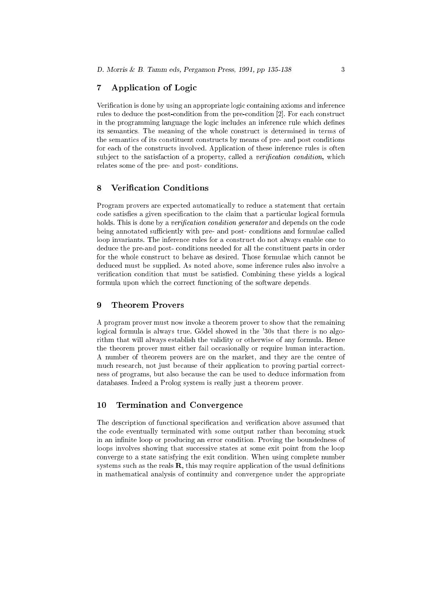### 7 Appli
ation of Logi

Verification is done by using an appropriate logic containing axioms and inference rules to deduce the post-condition from the pre-condition [2]. For each construct in the programming language the logic includes an inference rule which defines its semanti
s. The meaning of the whole onstru
t is determined in terms of the semanti
s of its onstituent onstru
ts by means of pre- and post onditions for each of the constructs involved. Application of these inference rules is often subject to the satisfaction of a property, called a *verification condition*, which relates some of the pre- and post-conditions.

## 8 Verification Conditions

Program provers are expected automatically to reduce a statement that certain code satisfies a given specification to the claim that a particular logical formula holds. This is done by a verification condition generator and depends on the code being annotated sufficiently with pre- and post-conditions and formulae called loop invariants. The inferen
e rules for a onstru
t do not always enable one to dedu
e the pre-and post- onditions needed for all the onstituent parts in order for the whole construct to behave as desired. Those formulae which cannot be dedu
ed must be supplied. As noted above, some inferen
e rules also involve a verification condition that must be satisfied. Combining these yields a logical formula upon which the correct functioning of the software depends.

#### **Theorem Provers** 9

A program prover must now invoke a theorem prover to show that the remaining logical formula is always true. Godel showed in the '30s that there is no algorithm that will always establish the validity or otherwise of any formula. Hen
e the theorem prover must either fail occasionally or require human interaction. A number of theorem provers are on the market, and they are the entre of much research, not just because of their application to proving partial correctness of programs, but also be
ause the an be used to dedu
e information from databases. Indeed a Prolog system is really just a theorem prover.

### 10 Termination and Convergen
e

The description of functional specification and verification above assumed that the code eventually terminated with some output rather than becoming stuck in an infinite loop or producing an error condition. Proving the boundedness of loops involves showing that successive states at some exit point from the loop onverge to a state satisfying the exit ondition. When using omplete number systems such as the reals **, this may require application of the usual definitions** in mathemati
al analysis of ontinuity and onvergen
e under the appropriate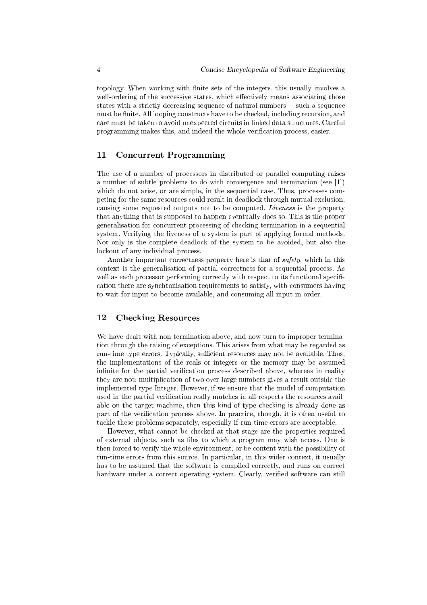topology. When working with finite sets of the integers, this usually involves a well-ordering of the successive states, which effectively means associating those states with a strictly decreasing sequence of natural numbers  $-$  such a sequence must be finite. All looping constructs have to be checked, including recursion, and care must be taken to avoid unexpected circuits in linked data structures. Careful programming makes this, and indeed the whole verification process, easier.

#### $11$ **Concurrent Programming**

The use of a number of processors in distributed or parallel computing raises a number of subtle problems to do with convergence and termination (see [1]) which do not arise, or are simple, in the sequential case. Thus, processes competing for the same resources could result in deadlock through mutual exclusion, causing some requested outputs not to be computed. Liveness is the property that anything that is supposed to happen eventually does so. This is the proper generalisation for concurrent processing of checking termination in a sequential system. Verifying the liveness of a system is part of applying formal methods. Not only is the complete deadlock of the system to be avoided, but also the lockout of any individual process.

Another important correctness property here is that of safety, which in this context is the generalisation of partial correctness for a sequential process. As well as each processor performing correctly with respect to its functional specification there are synchronisation requirements to satisfy, with consumers having to wait for input to become available, and consuming all input in order.

#### 12 **Checking Resources**

We have dealt with non-termination above, and now turn to improper termination through the raising of exceptions. This arises from what may be regarded as run-time type errors. Typically, sufficient resources may not be available. Thus, the implementations of the reals or integers or the memory may be assumed infinite for the partial verification process described above, whereas in reality they are not: multiplication of two over-large numbers gives a result outside the implemented type Integer. However, if we ensure that the model of computation used in the partial verification really matches in all respects the resources available on the target machine, then this kind of type checking is already done as part of the verification process above. In practice, though, it is often useful to tackle these problems separately, especially if run-time errors are acceptable.

However, what cannot be checked at that stage are the properties required of external objects, such as files to which a program may wish access. One is then forced to verify the whole environment, or be content with the possibility of run-time errors from this source. In particular, in this wider context, it usually has to be assumed that the software is compiled correctly, and runs on correct hardware under a correct operating system. Clearly, verified software can still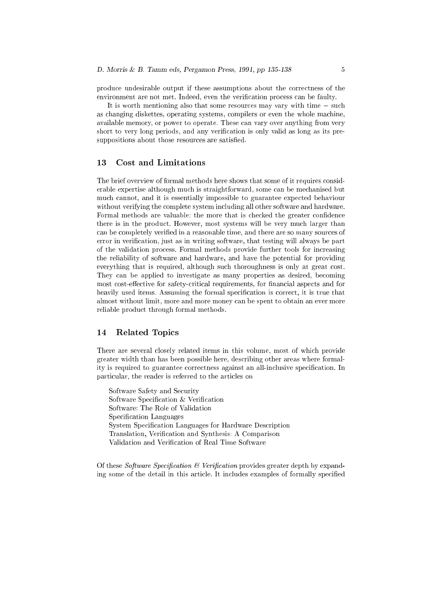produ
e undesirable output if these assumptions about the orre
tness of the environment are not met. Indeed, even the verification process can be faulty.

It is worth mentioning also that some resources may vary with time  $-$  such as hanging diskettes, operating systems, ompilers or even the whole ma
hine, available memory, or power to operate. These an vary over anything from very short to very long periods, and any verification is only valid as long as its presuppositions about those resources are satisfied.

The brief overview of formal methods here shows that some of it requires considerable expertise although mu
h is straightforward, some an be me
hanised but mu
h annot, and it is essentially impossible to guarantee expe
ted behaviour without verifying the complete system including all other software and hardware. Formal methods are valuable; the more that is checked the greater confidence there is in the produ
t. However, most systems will be very mu
h larger than can be completely verified in a reasonable time, and there are so many sources of error in verification, just as in writing software, that testing will always be part of the validation pro
ess. Formal methods provide further tools for in
reasing the reliability of software and hardware, and have the potential for providing everything that is required, although such thoroughness is only at great cost. They can be applied to investigate as many properties as desired, becoming most cost-effective for safety-critical requirements, for financial aspects and for heavily used items. Assuming the formal specification is correct, it is true that almost without limit, more and more money can be spent to obtain an ever more reliable produ
t through formal methods.

### 14 Related Topi
s

There are several losely related items in this volume, most of whi
h provide greater width than has been possible here, des
ribing other areas where formality is required to guarantee correctness against an all-inclusive specification. In parti
ular, the reader is referred to the arti
les on

Software Safety and Se
urity Software Specification & Verification Software: The Role of Validation Specification Languages System Specification Languages for Hardware Description Translation, Verification and Synthesis: A Comparison Validation and Verification of Real Time Software

Of these Software Specification  $\mathcal B$  Verification provides greater depth by expanding some of the detail in this article. It includes examples of formally specified